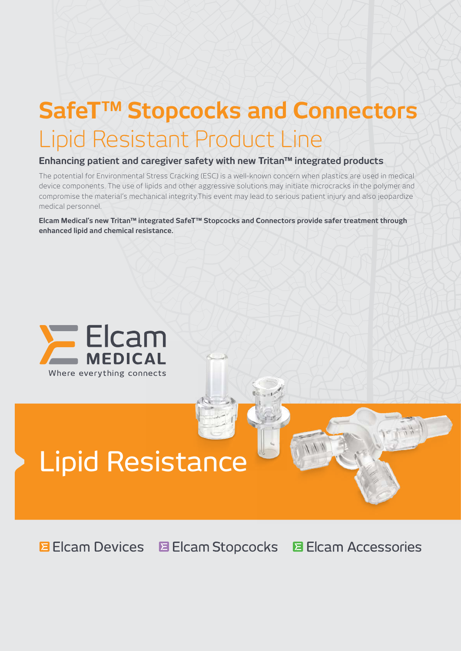## SafeT<sup>™</sup> Stopcocks and Connectors Lipid Resistant Product Line

## **Enhancing patient and caregiver safety with new Tritan™ integrated products**

The potential for Environmental Stress Cracking (ESC) is a well-known concern when plastics are used in medical device components. The use of lipids and other aggressive solutions may initiate microcracks in the polymer and compromise the material's mechanical integrity.This event may lead to serious patient injury and also jeopardize medical personnel.

**Elcam Medical's new Tritan™ integrated SafeT™ Stopcocks and Connectors provide safer treatment through enhanced lipid and chemical resistance.**



# Lipid Resistance

**E** Elcam Devices E Elcam Stopcocks **目 Elcam Accessories**